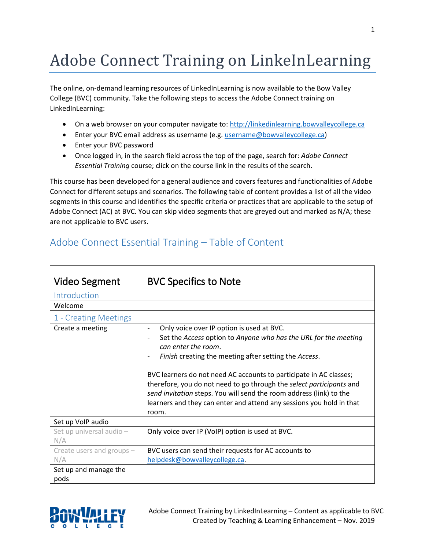## Adobe Connect Training on LinkeInLearning

The online, on-demand learning resources of LinkedInLearning is now available to the Bow Valley College (BVC) community. Take the following steps to access the Adobe Connect training on LinkedInLearning:

- On a web browser on your computer navigate to: [http://linkedinlearning.bowvalleycollege.ca](http://linkedinlearning.bowvalleycollege.ca/)
- Enter your BVC email address as username (e.g[. username@bowvalleycollege.ca\)](mailto:username@bowvalleycollege.ca)
- Enter your BVC password
- Once logged in, in the search field across the top of the page, search for: *Adobe Connect Essential Training* course; click on the course link in the results of the search.

This course has been developed for a general audience and covers features and functionalities of Adobe Connect for different setups and scenarios. The following table of content provides a list of all the video segments in this course and identifies the specific criteria or practices that are applicable to the setup of Adobe Connect (AC) at BVC. You can skip video segments that are greyed out and marked as N/A; these are not applicable to BVC users.

## Adobe Connect Essential Training – Table of Content

| <b>Video Segment</b>             | <b>BVC Specifics to Note</b>                                                                                                                                                                                                                                                                                                                                                                                                                                                                       |
|----------------------------------|----------------------------------------------------------------------------------------------------------------------------------------------------------------------------------------------------------------------------------------------------------------------------------------------------------------------------------------------------------------------------------------------------------------------------------------------------------------------------------------------------|
| Introduction                     |                                                                                                                                                                                                                                                                                                                                                                                                                                                                                                    |
| Welcome                          |                                                                                                                                                                                                                                                                                                                                                                                                                                                                                                    |
| 1 - Creating Meetings            |                                                                                                                                                                                                                                                                                                                                                                                                                                                                                                    |
| Create a meeting                 | Only voice over IP option is used at BVC.<br>Set the Access option to Anyone who has the URL for the meeting<br>can enter the room.<br>Finish creating the meeting after setting the Access.<br>BVC learners do not need AC accounts to participate in AC classes;<br>therefore, you do not need to go through the select participants and<br>send invitation steps. You will send the room address (link) to the<br>learners and they can enter and attend any sessions you hold in that<br>room. |
| Set up VoIP audio                |                                                                                                                                                                                                                                                                                                                                                                                                                                                                                                    |
| Set up universal audio -<br>N/A  | Only voice over IP (VoIP) option is used at BVC.                                                                                                                                                                                                                                                                                                                                                                                                                                                   |
| Create users and groups -<br>N/A | BVC users can send their requests for AC accounts to<br>helpdesk@bowvalleycollege.ca.                                                                                                                                                                                                                                                                                                                                                                                                              |
| Set up and manage the<br>pods    |                                                                                                                                                                                                                                                                                                                                                                                                                                                                                                    |



Adobe Connect Training by LinkedInLearning – Content as applicable to BVC Created by Teaching & Learning Enhancement – Nov. 2019